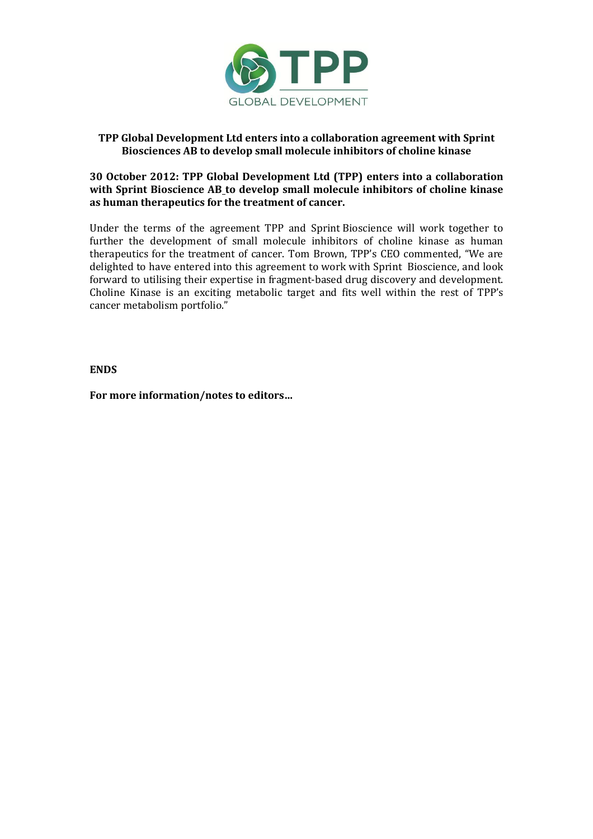

# **TPP Global Development Ltd enters into a collaboration agreement with Sprint Biosciences AB to develop small molecule inhibitors of choline kinase**

## **30 October 2012: TPP Global Development Ltd (TPP) enters into a collaboration with Sprint Bioscience AB to develop small molecule inhibitors of choline kinase as human therapeutics for the treatment of cancer.**

Under the terms of the agreement TPP and Sprint Bioscience will work together to further the development of small molecule inhibitors of choline kinase as human therapeutics for the treatment of cancer. Tom Brown, TPP's CEO commented, "We are delighted to have entered into this agreement to work with Sprint Bioscience, and look forward to utilising their expertise in fragment-based drug discovery and development. Choline Kinase is an exciting metabolic target and fits well within the rest of TPP's cancer metabolism portfolio."

### **ENDS**

**For more information/notes to editors…**